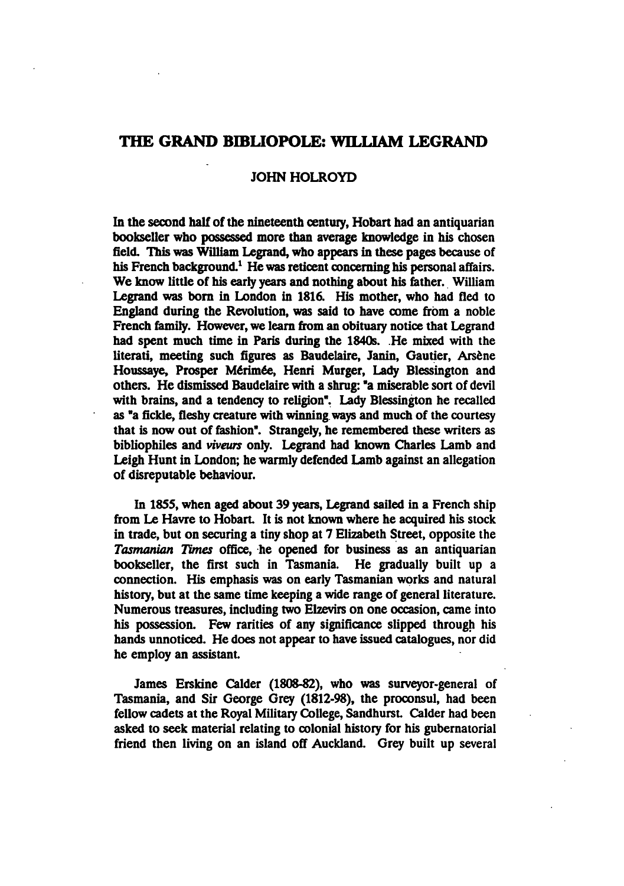## THE GRAND BIBLIOPOLE: WILLIAM LEGRAND

## JOHN HOLROYD

In the second half of the nineteenth century, Hobart had an antiquarian bookseller who possessed more than average knowledge in his chosen field. This was William Legrand, who appears in these pages because of his French background.<sup>1</sup> He was reticent concerning his personal affairs. We know little of his early years and nothing about his father. William Legrand was born in London in 1816. His mother, who had fled to England during the Revolution, was said to have come from a noble French family. However, we learn from an obituary notice that Legrand had spent much time in Paris during the 1840s. He mixed with the literati, meeting such figures as Baudelaire, Janin, Gautier, Arsene Houssave, Prosper Mérimée, Henri Murger, Lady Blessington and others. He dismissed Baudelaire with a shrug: "a miserable sort of devil with brains, and a tendency to religion". Lady Blessington he recalled as "a fickle, fleshy creature with winning ways and much of the courtesy that is now out of fashion". Strangely, he remembered these writers as bibliophiles and viveurs only. Legrand had known Charles Lamb and Leigh Hunt in London; he warmly defended Lamb against an allegation of disreputable behaviour.

In 1855, when aged about 39 years, Legrand sailed in a French ship from Le Havre to Hobart. It is not known where he acquired his stock in trade, but on securing a tiny shop at 7 Elizabeth Street, opposite the Tasmanian Times office, he opened for business as an antiquarian bookseller, the first such in Tasmania. He gradually built up a connection. His emphasis was on early Tasmanian works and natural history, but at the same time keeping a wide range of general literature. Numerous treasures, including two Elzevirs on one occasion, came into his possession. Few rarities of any significance slipped through his hands unnoticed. He does not appear to have issued catalogues, nor did he employ an assistant

James Erskine Calder (1808-82), who was surveyor-general of Tasmania, and Sir George Grey (1812-98), the proconsul, had been fellow cadets at the Royal Military College, Sandhurst. Calder had been asked to seek material relating to colonial history for his gubernatorial friend then living on an island off Auckland. Grey built up several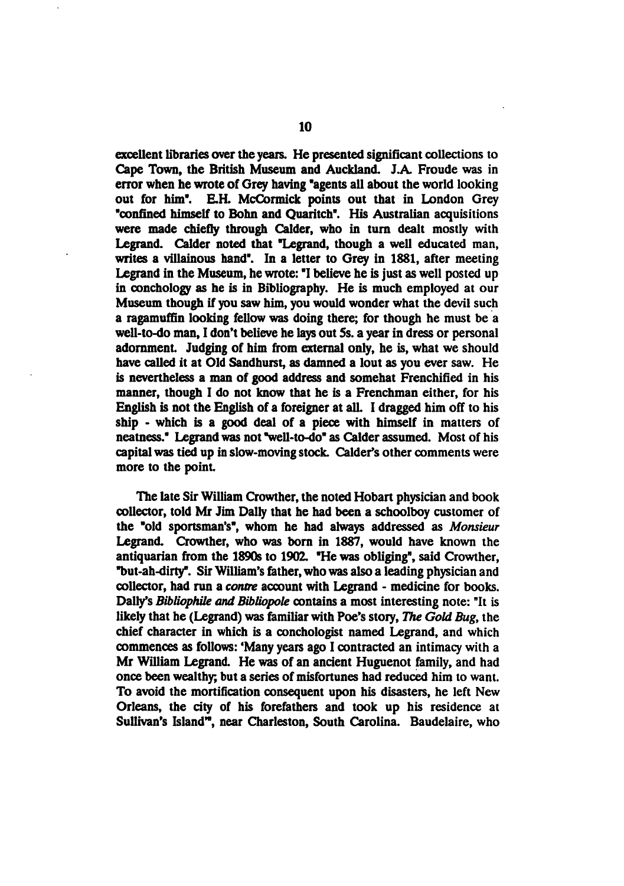excellent libraries over the years. He presented significant collections to Cape Town, the British Museum and Auckland. J.A. Froude was in error when he wrote of Grey having "agents all about the world looking out for him". E.H. McCormick points out that in London Grey "confined himself to Bonn and Quaritch". His Australian acquisitions were made chiefly through Calder, who in turn dealt mostly with Legrand. Calder noted that "Legrand, though a well educated man, writes a villainous hand". In a letter to Grey in 1881, after meeting Legrand in the Museum, he wrote: "I believe he is just as well posted up in conchology as he is in Bibliography. He is much employed at our Museum though if you saw him, you would wonder what the devil such a ragamuffin looking fellow was doing there; for though he must be a well-to-do man, I don't believe he lays out 5s. a year in dress or personal adornment. Judging of him from external only, he is, what we should have called it at Old Sandhurst, as damned a lout as you ever saw. He is nevertheless a man of good address and somehat Frenchified in his manner, though I do not know that he is a Frenchman either, for his English is not the English of a foreigner at all. I dragged him off to his ship - which is a good deal of a piece with himself in matters of neatness." Legrand was not "well-to-do" as Calder assumed. Most of his capital was tied up in slow-moving stock. Calder's other comments were more to the point

The late Sir William Crowther, the noted Hobart physician and book collector, told Mr Jim Dally that he had been a schoolboy customer of the "old sportsman's", whom he had always addressed as Monsieur Legrand. Crowther, who was born in 1887, would have known the antiquarian from the 1890s to 1902. "He was obliging", said Crowther, "but-ah-dirty". Sir William's father, who was also a leading physician and collector, had run a contre account with Legrand - medicine for books. Dally's Bibliophile and Bibliopole contains a most interesting note: "It is likely that he (Legrand) was familiar with Poe's story, The Gold Bug, the chief character in which is conchologist named Legrand, and which commences as follows: 'Many years ago I contracted an intimacy with a Mr William Legrand. He was of an ancient Huguenot family, and had once been wealthy; but a series of misfortunes had reduced him to want. To avoid the mortification consequent upon his disasters, he left New Orleans, the city of his forefathers and took up his residence at Sullivan's Island", near Charleston, South Carolina. Baudelaire, who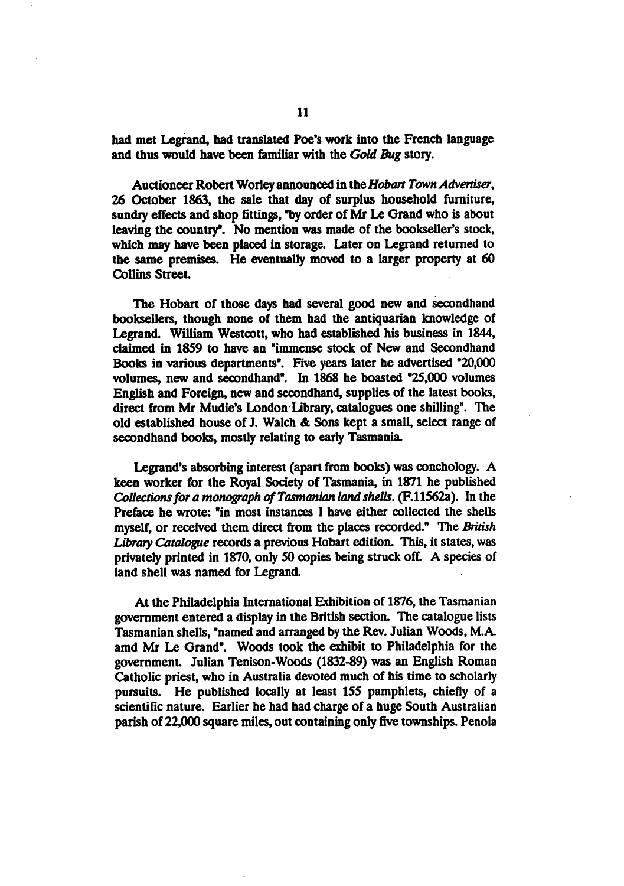had met Legrand, had translated Poe's work into the French language and thus would have been familiar with the Gold Bug story.

Auctioneer Robert Worley announced in the Hobart Town Advertiser, 26 October 1863, the sale that day of surplus household furniture, sundry effects and shop fittings, "by order of Mr Le Grand who is about leaving the country". No mention was made of the bookseller's stock, which may have been placed in storage. Later on Legrand returned to the same premises. He eventually moved to a larger property at 60 Collins Street

The Hobart of those days had several good new and secondhand booksellers, though none of them had the antiquarian knowledge of Legrand. William Westcott, who had established his business in 1844, claimed in 1859 to have an "immense stock of New and Secondhand Books in various departments". Five years later he advertised "20,000 volumes, new and secondhand". In 1868 he boasted "25,000 volumes English and Foreign, new and secondhand, supplies of the latest books, direct from Mr Mudie's London Library, catalogues one shilling". The old established house of J. Walch & Sons kept a small, select range of secondhand books, mostly relating to early Tasmania.

Legrand's absorbing interest (apart from books) was conchology. A keen worker for the Royal Society of Tasmania, in 1871 he published Collections for a monograph of Tasmanian land shells. (F.11562a). In the Preface he wrote: "in most instances I have either collected the shells myself, or received them direct from the places recorded." The British Library Catalogue records a previous Hobart edition. This, it states, was privately printed in 1870, only 50 copies being struck off. A species of land shell was named for Legrand.

At the Philadelphia International Exhibition of 1876, the Tasmanian government entered display in the British section. The catalogue lists Tasmanian shells, "named and arranged by the Rev. Julian Woods, M.A. amd Mr Le Grand". Woods took the exhibit to Philadelphia for the government. Julian Tenison-Woods (1832-89) was an English Roman Catholic priest, who in Australia devoted much of his time to scholarly pursuits. He published locally at least 155 pamphlets, chiefly of scientific nature. Earlier he had had charge of a huge South Australian parish of 22,000 square miles, out containing only five townships. Penola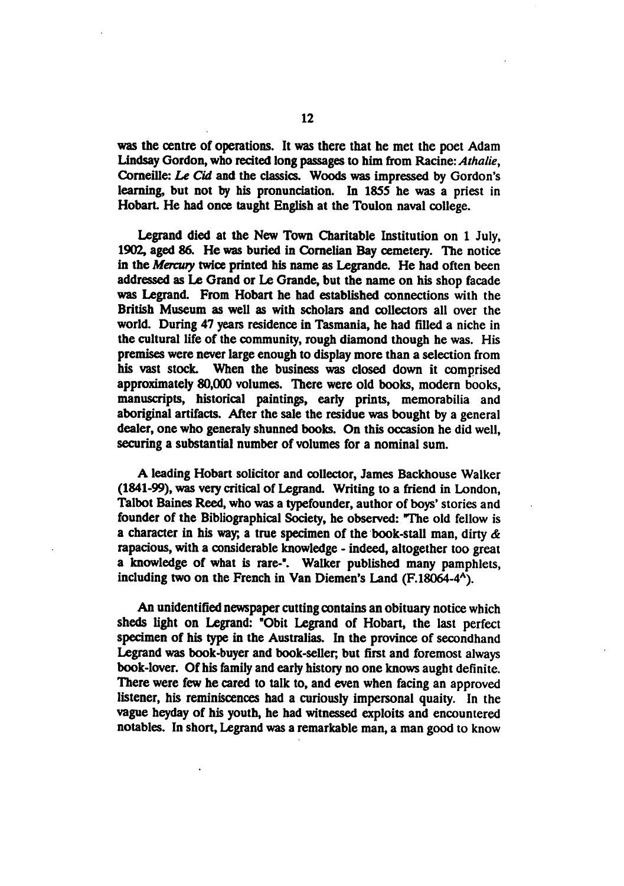was the centre of operations. It was there that he met the poet Adam Lindsay Gordon, who recited long passages to him from Racine: Athalie, Corneille: Le Cid and the classics. Woods was impressed by Gordon's learning, but not by his pronunciation. In 1855 he was a priest in Hobart. He had once taught English at the Toulon naval college.

Legrand died at the New Town Charitable Institution on 1 July, 1902, aged 86. He was buried in Cornelian Bay cemetery. The notice in the Mercury twice printed his name as Legrande. He had often been addressed as Le Grand or Le Grande, but the name on his shop facade was Legrand. From Hobart he had established connections with the British Museum as well as with scholars and collectors all over the world. During 47 years residence in Tasmania, he had filled a niche in the cultural life of the community, rough diamond though he was. His premises were never large enough to display more than a selection from his vast stock. When the business was closed down it comprised approximately 80,000 volumes. There were old books, modern books, manuscripts, historical paintings, early prints, memorabilia and aboriginal artifacts. After the sale the residue was bought by a general dealer, one who generaly shunned books. On this occasion he did well, securing a substantial number of volumes for a nominal sum.

A leading Hobart solicitor and collector, James Backhouse Walker  $(1841-99)$ , was very critical of Legrand. Writing to a friend in London, Talbot Baines Reed, who was a typefounder, author of boys' stories and founder of the Bibliographical Society, he observed: "The old fellow is a character in his way, a true specimen of the book-stall man, dirty  $\alpha$ rapacious, with a considerable knowledge - indeed, altogether too great a knowledge of what is rare-". Walker published many pamphlets, including two on the French in Van Diemen's Land (F.18064-4<sup>A</sup>).

An unidentified newspaper cutting contains an obituary notice which sheds light on Legrand: "Obit Legrand of Hobart, the last perfect specimen of his type in the Australias. In the province of secondhand Legrand was book-buyer and book-seller; but first and foremost always book-lover. Of his family and early history no one knows aught definite. There were few he cared to talk to, and even when facing an approved listener, his reminiscences had curiously impersonal quaity. In the vague heyday of his youth, he had witnessed exploits and encountered notables. In short, Legrand was a remarkable man, a man good to know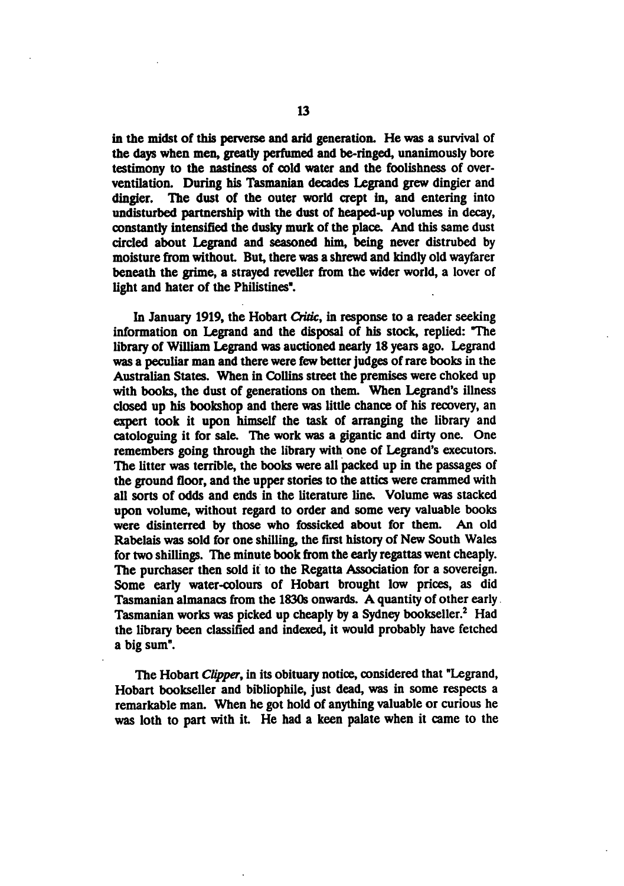in the midst of this perverse and arid generation. He was a survival of the days when men, greatly perfumed and be-ringed, unanimously bore testimony to the nastiness of cold water and the foolishness of overventilation. During his Tasmanian decades Legrand grew dingier and dingier. The dust of the outer world crept in, and entering into undisturbed partnership with the dust of heaped-up volumes in decay, constantly intensified the dusky murk of the place. And this same dust circled about Legrand and seasoned him, being never distrubed by moisture from without. But, there was a shrewd and kindly old wayfarer beneath the grime, a strayed reveller from the wider world, a lover of light and hater of the Philistines".

In January 1919, the Hobart Critic, in response to a reader seeking information on Legrand and the disposal of his stock, replied: The library of William Legrand was auctioned nearly 18 years ago. Legrand was a peculiar man and there were few better judges of rare books in the Australian States. When in Collins street the premises were choked up with books, the dust of generations on them. When Legrand's illness closed up his bookshop and there was little chance of his recovery, an expert took it upon himself the task of arranging the library and catologuing it for sale. The work was gigantic and dirty one. One remembers going through the library with one of Legrand's executors. The litter was terrible, the books were all packed up in the passages of the ground floor, and the upper stories to the attics were crammed with all sorts of odds and ends in the literature line. Volume was stacked upon volume, without regard to order and some very valuable books were disinterred by those who fossicked about for them. An old Rabelais was sold for one shilling, the first history of New South Wales for two shillings. The minute book from the early regattas went cheaply. The purchaser then sold it to the Regatta Association for a sovereign. Some early water-colours of Hobart brought low prices, as did Tasmanian almanacs from the 1830s onwards. A quantity of other early Tasmanian works was picked up cheaply by a Sydney bookseller.<sup>2</sup> Had the library been classified and indexed, it would probably have fetched big sum".

The Hobart Clipper, in its obituary notice, considered that "Legrand, Hobart bookseller and bibliophile, just dead, was in some respects a remarkable man. When he got hold of anything valuable or curious he was loth to part with it. He had a keen palate when it came to the